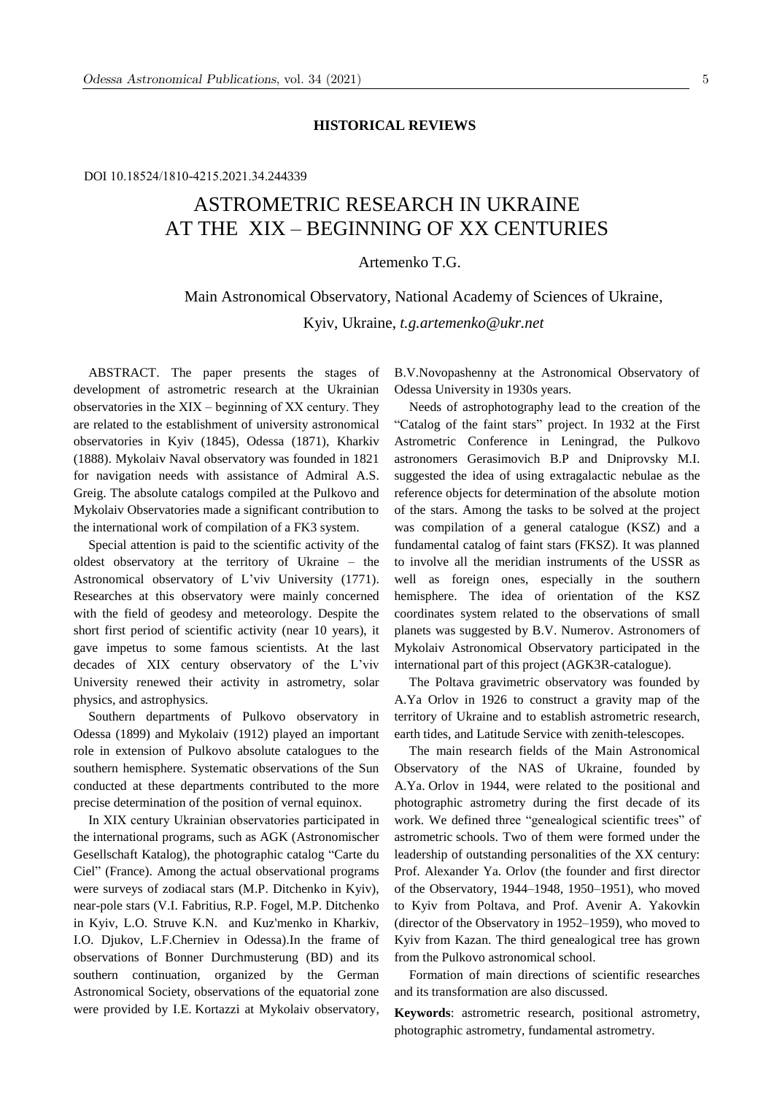### **HISTORICAL REVIEWS**

### DOI 10.18524/1810-4215.2021.34.244339

# ASTROMETRIC RESEARCH IN UKRAINE AT THE XIX – BEGINNING OF XX CENTURIES

Artemenko T.G.

## Main Astronomical Observatory, National Academy of Sciences of Ukraine, Kyiv, Ukraine, *t.g.artemenko@ukr.net*

ABSTRACT. The paper presents the stages of development of astrometric research at the Ukrainian observatories in the ХIХ – beginning of ХХ century. They are related to the establishment of university astronomical observatories in Kyiv (1845), Odessa (1871), Kharkiv (1888). Mykolaiv Naval observatory was founded in 1821 for navigation needs with assistance of Admiral A.S. Greig. The absolute catalogs compiled at the Pulkovo and Mykolaiv Observatories made a significant contribution to the international work of compilation of a FK3 system.

Special attention is paid to the scientific activity of the oldest observatory at the territory of Ukraine – the Astronomical observatory of L'viv University (1771). Researches at this observatory were mainly concerned with the field of geodesy and meteorology. Despite the short first period of scientific activity (near 10 years), it gave impetus to some famous scientists. At the last decades of ХIХ century observatory of the L'viv University renewed their activity in astrometry, solar physics, and astrophysics.

Southern departments of Pulkovo observatory in Odessa (1899) and Mykolaiv (1912) played an important role in extension of Pulkovo absolute catalogues to the southern hemisphere. Systematic observations of the Sun conducted at these departments contributed to the more precise determination of the position of vernal equinox.

In ХIХ century Ukrainian observatories participated in the international programs, such as AGK (Astronomischer Gesellschaft Katalog), the photographic catalog "Carte du Ciel" (France). Among the actual observational programs were surveys of zodiacal stars (M.P. Ditchenko in Kyiv), near-pole stars (V.I. Fabritius, R.P. Fogel, M.P. Ditchenko in Kyiv, L.O. Struve K.N. and Kuz'menko in Kharkiv, I.O. Djukov, L.F.Cherniev in Odessa).In the frame of observations of Bonner Durchmusterung (BD) and its southern continuation, organized by the German Astronomical Society, observations of the equatorial zone were provided by I.E. Kortazzi at Mykolaiv observatory, B.V.Novopashenny at the Astronomical Observatory of Odessa University in 1930s years.

Needs of astrophotography lead to the creation of the "Сatalog of the faint stars" project. In 1932 at the First Astrometric Conference in Leningrad, the Pulkovo astronomers Gerasimovich B.P and Dniprovsky M.I. suggested the idea of using eхtragalactic nebulae as the reference objects for determination of the absolute motion of the stars. Among the tasks to be solved at the project was compilation of a general catalogue (KSZ) and a fundamental catalog of faint stars (FKSZ). It was planned to involve all the meridian instruments of the USSR as well as foreign ones, especially in the southern hemisphere. The idea of orientation of the KSZ coordinates system related to the observations of small planets was suggested by B.V. Numerov. Astronomers of Mykolaiv Astronomical Observatory participated in the international part of this project (AGK3R-catalogue).

The Poltava gravimetric observatory was founded by A.Ya Orlov in 1926 to construct a gravity map of the territory of Ukraine and to establish astrometric research, earth tides, and Latitude Service with zenith-telescopes.

The main research fields of the Main Astronomical Observatory of the NAS of Ukraine, founded by A.Ya. Orlov in 1944, were related to the positional and photographic astrometry during the first decade of its work. We defined three "genealogical scientific trees" of astrometric schools. Two of them were formed under the leadership of outstanding personalities of the XX century: Prof. Alexander Ya. Orlov (the founder and first director of the Observatory, 1944–1948, 1950–1951), who moved to Kyiv from Poltava, and Prof. Avenir A. Yakovkin (director of the Observatory in 1952–1959), who moved to Kyiv from Kazan. The third genealogical tree has grown from the Pulkovo astronomical school.

Formation of main directions of scientific researches and its transformation are also discussed.

**Keywords**: astrometric research, positional astrometry, photographic astrometry, fundamental astrometry.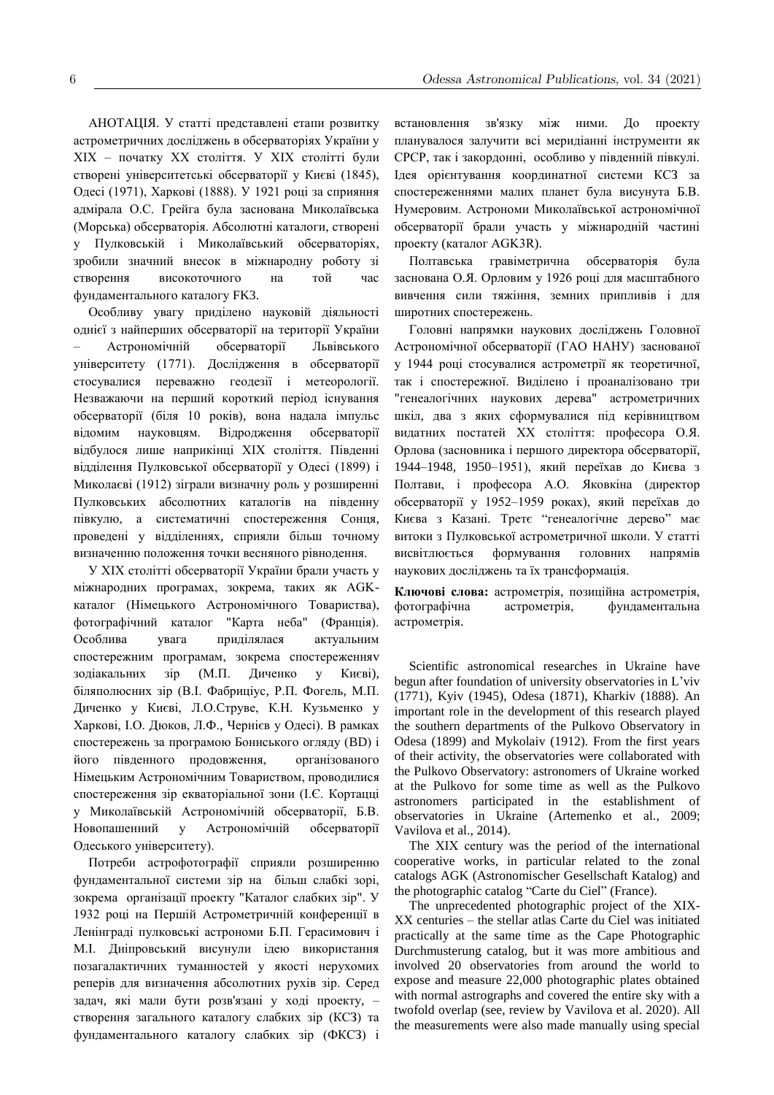АНОТАЦІЯ. У статті представлені етапи розвитку астрометричних досліджень в обсерваторіях України у ХIХ – початку ХХ століття. У ХIХ столітті були створені університетські обсерваторії у Києві (1845), Одесі (1971), Харкові (1888). У 1921 році за сприяння адмірала О.С. Грейга була заснована Миколаївська (Морська) обсерваторія. Абсолютні каталоги, створені у Пулковській і Миколаївський обсерваторіях, зробили значний внесок в міжнародну роботу зі створення високоточного на той час фундаментального каталогу FK3.

Особливу увагу приділено науковій діяльності однієї з найперших обсерваторії на території України – Астрономічній обсерваторії Львівського університету (1771). Дослідження в обсерваторії стосувалися переважно геодезії і метеорології. Незважаючи на перший короткий період існування обсерваторії (біля 10 років), вона надала імпульс відомим науковцям. Відродження обсерваторії відбулося лише наприкінці ХIХ століття. Південні відділення Пулковської обсерваторії у Одесі (1899) і Миколаєві (1912) зіграли визначну роль у розширенні Пулковських абсолютних каталогів на південну півкулю, а систематичні спостереження Сонця, проведені у відділеннях, сприяли більш точному визначенню положення точки весняного рівнодення.

У ХIХ столітті обсерваторії України брали участь у міжнародних програмах, зокрема, таких як AGKкаталог (Німецького Астрономічного Товариства), фотографічний каталог "Карта неба" (Франція). Особлива увага приділялася актуальним спостережним програмам, зокрема спостереженняv зодіакальних зір (М.П. Диченко у Києві), біляполюсних зір (В.І. Фабриціус, Р.П. Фогель, М.П. Диченко у Києві, Л.О.Cтруве, К.Н. Кузьменко у Харкові, І.О. Дюков, Л.Ф., Чернієв у Одесі). В рамках спостережень за програмою Боннського огляду (BD) і його південного продовження, організованого Німецьким Астрономічним Товариством, проводилися спостереження зір екваторіальної зони (І.Є. Кортацці у Миколаївській Астрономічній обсерваторії, Б.В. Новопашенний у Астрономічній обсерваторії Одеського університету).

Потреби астрофотографії сприяли розширенню фундаментальної системи зір на більш слабкі зорі, зокрема організації проекту "Каталог слабких зір". У 1932 році на Першій Астрометричній конференції в Ленінграді пулковські астрономи Б.П. Герасимович і М.І. Дніпровський висунули ідею використання позагалактичних туманностей у якості нерухомих реперів для визначення абсолютних рухів зір. Серед задач, які мали бути розв'язані у ході проекту, – створення загального каталогу слабких зір (КСЗ) та фундаментального каталогу слабких зір (ФКСЗ) і

встановлення зв'язку між ними. До проекту планувалося залучити всі меридіанні інструменти як СРСР, так і закордонні, особливо у південній півкулі. Ідея орієнтування координатної системи КСЗ за спостереженнями малих планет була висунута Б.В. Нумеровим. Астрономи Миколаївської астрономічної обсерваторії брали участь у міжнародній частині проекту (каталог AGK3R).

Полтавська гравіметрична обсерваторія була заснована О.Я. Орловим у 1926 році для масштабного вивчення сили тяжіння, земних припливів і для широтних спостережень.

Головні напрямки наукових досліджень Головної Астрономічної обсерваторії (ГАО НАНУ) заснованої у 1944 році стосувалися астрометрії як теоретичної, так і спостережної. Виділено і проаналізовано три "генеалогічних наукових дерева" астрометричних шкіл, два з яких сформувалися під керівництвом видатних постатей ХХ століття: професора О.Я. Орлова (засновника і першого директора обсерваторії, 1944–1948, 1950–1951), який переїхав до Києва з Полтави, і професора А.О. Яковкіна (директор обсерваторії у 1952–1959 роках), який переїхав до Києва з Казані. Третє "генеалогічне дерево" має витоки з Пулковської астрометричної школи. У статті висвітлюється формування головних напрямів наукових досліджень та їх трансформація.

**Ключові слова:** астрометрія, позиційна астрометрія, фотографічна астрометрія, фундаментальна астрометрія.

Scientific astronomical researches in Ukraine have begun after foundation of university observatories in L'viv (1771), Kyiv (1945), Odesa (1871), Kharkiv (1888). An important role in the development of this research played the southern departments of the Pulkovo Observatory in Odesa (1899) and Mykolaiv (1912). From the first years of their activity, the observatories were collaborated with the Pulkovo Observatory: astronomers of Ukraine worked at the Pulkovo for some time as well as the Pulkovo astronomers participated in the establishment of observatories in Ukraine (Artemenko et al., 2009; Vavilova et al., 2014).

The ХIХ century was the period of the international cooperative works, in particular related to the zonal catalogs AGK (Astronomischer Gesellschaft Katalog) and the photographic catalog "Carte du Ciel" (France).

The unprecedented photographic project of the XIX-XX centuries – the stellar atlas Carte du Ciel was initiated practically at the same time as the Cape Photographic Durchmusterung catalog, but it was more ambitious and involved 20 observatories from around the world to expose and measure 22,000 photographic plates obtained with normal astrographs and covered the entire sky with a twofold overlap (see, review by Vavilova et al. 2020). All the measurements were also made manually using special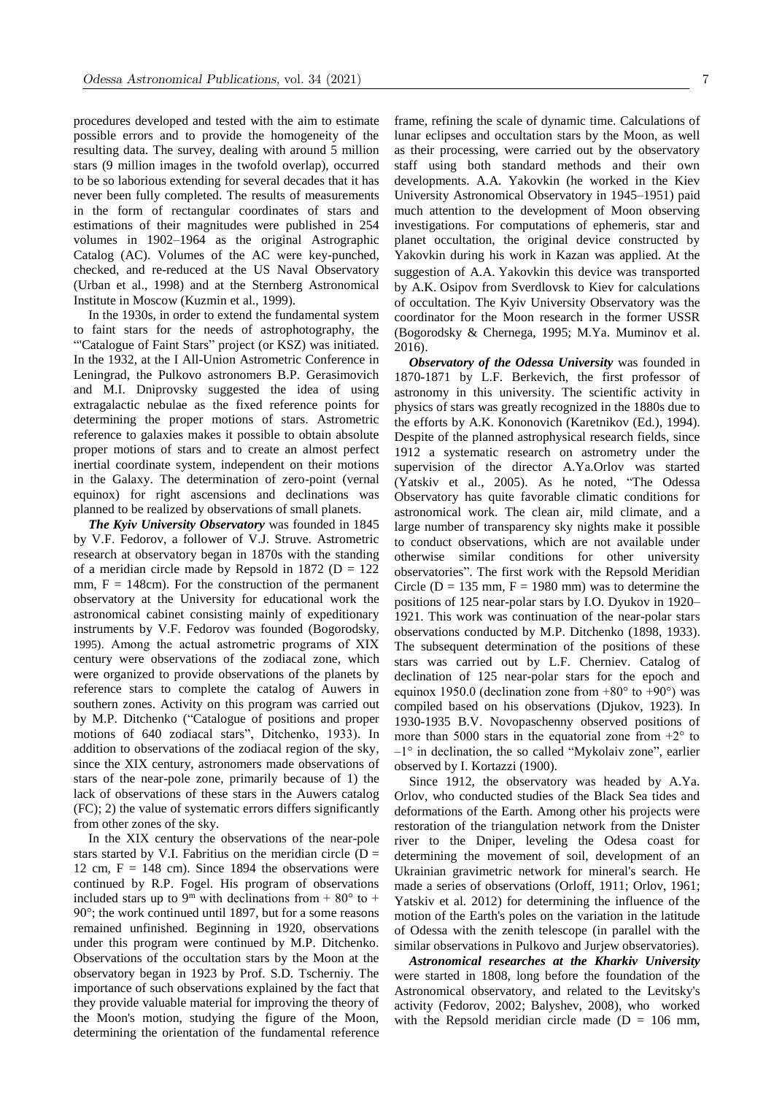procedures developed and tested with the aim to estimate possible errors and to provide the homogeneity of the resulting data. The survey, dealing with around 5 million stars (9 million images in the twofold overlap), occurred to be so laborious extending for several decades that it has never been fully completed. The results of measurements in the form of rectangular coordinates of stars and estimations of their magnitudes were published in 254 volumes in 1902–1964 as the original Astrographic Catalog (AC). Volumes of the AC were key-punched, checked, and re-reduced at the US Naval Observatory (Urban et al., 1998) and at the Sternberg Astronomical Institute in Moscow (Kuzmin et al., 1999).

In the 1930s, in order to extend the fundamental system to faint stars for the needs of astrophotography, the "'Catalogue of Faint Stars" project (or KSZ) was initiated. In the 1932, at the I All-Union Astrometric Conference in Leningrad, the Pulkovo astronomers B.P. Gerasimovich and M.I. Dniprovsky suggested the idea of using extragalactic nebulae as the fixed reference points for determining the proper motions of stars. Astrometric reference to galaxies makes it possible to obtain absolute proper motions of stars and to create an almost perfect inertial coordinate system, independent on their motions in the Galaxy. The determination of zero-point (vernal equinox) for right ascensions and declinations was planned to be realized by observations of small planets.

*The Kyiv University Observatory* was founded in 1845 by V.F. Fedorov, a follower of V.J. Struve. Astrometric research at observatory began in 1870s with the standing of a meridian circle made by Repsold in 1872 ( $D = 122$ ) mm,  $F = 148$ cm). For the construction of the permanent observatory at the University for educational work the astronomical cabinet consisting mainly of expeditionary instruments by V.F. Fedorov was founded (Bogorodsky, 1995). Among the actual astrometric programs of ХIХ century were observations of the zodiacal zone, which were organized to provide observations of the planets by reference stars to complete the catalog of Auwers in southern zones. Activity on this program was carried out by M.P. Ditchenko ("Catalogue of positions and proper motions of 640 zodiacal stars", Ditchenko, 1933). In addition to observations of the zodiacal region of the sky, since the XIX century, astronomers made observations of stars of the near-pole zone, primarily because of 1) the lack of observations of these stars in the Auwers catalog (FC); 2) the value of systematic errors differs significantly from other zones of the sky.

In the XIX century the observations of the near-pole stars started by V.I. Fabritius on the meridian circle  $(D =$ 12 cm,  $F = 148$  cm). Since 1894 the observations were continued by R.P. Fogel. His program of observations included stars up to 9<sup>m</sup> with declinations from  $+80^{\circ}$  to  $+$ 90°; the work continued until 1897, but for a some reasons remained unfinished. Beginning in 1920, observations under this program were continued by M.P. Ditchenko. Observations of the occultation stars by the Moon at the observatory began in 1923 by Prof. S.D. Tscherniy. The importance of such observations explained by the fact that they provide valuable material for improving the theory of the Moon's motion, studying the figure of the Moon, determining the orientation of the fundamental reference

frame, refining the scale of dynamic time. Calculations of lunar eclipses and occultation stars by the Moon, as well as their processing, were carried out by the observatory staff using both standard methods and their own developments. A.A. Yakovkin (he worked in the Kiev University Astronomical Observatory in 1945–1951) paid much attention to the development of Moon observing investigations. For computations of ephemeris, star and planet occultation, the original device constructed by Yakovkin during his work in Kazan was applied. At the suggestion of A.A. Yakovkin this device was transported by A.K. Osipov from Sverdlovsk to Kiev for calculations of occultation. The Kyiv University Observatory was the coordinator for the Moon research in the former USSR (Bogorodsky & Chernega, 1995; M.Ya. Muminov et al. 2016).

*Observatory of the Odessa University* was founded in 1870-1871 by L.F. Berkevich, the first professor of astronomy in this university. The scientific activity in physics of stars was greatly recognized in the 1880s due to the efforts by A.K. Kononovich (Karetnikov (Ed.), 1994). Despite of the planned astrophysical research fields, since 1912 a systematic research on astrometry under the supervision of the director A.Ya.Orlov was started (Yatskiv et al., 2005). As he noted, "The Odessa Observatory has quite favorable climatic conditions for astronomical work. The clean air, mild climate, and a large number of transparency sky nights make it possible to conduct observations, which are not available under otherwise similar conditions for other university observatories". The first work with the Repsold Meridian Circle ( $D = 135$  mm,  $F = 1980$  mm) was to determine the positions of 125 near-polar stars by I.O. Dyukov in 1920– 1921. This work was continuation of the near-polar stars observations conducted by M.P. Ditchenko (1898, 1933). The subsequent determination of the positions of these stars was carried out by L.F. Cherniev. Catalog of declination of 125 near-polar stars for the epoch and equinox 1950.0 (declination zone from  $+80^{\circ}$  to  $+90^{\circ}$ ) was compiled based on his observations (Djukov, 1923). In 1930-1935 B.V. Novopaschenny observed positions of more than 5000 stars in the equatorial zone from  $+2^{\circ}$  to  $-1^{\circ}$  in declination, the so called "Mykolaiv zone", earlier observed by I. Kortazzi (1900).

Since 1912, the observatory was headed by A.Ya. Orlov, who conducted studies of the Black Sea tides and deformations of the Earth. Among other his projects were restoration of the triangulation network from the Dnister river to the Dniper, leveling the Odesa coast for determining the movement of soil, development of an Ukrainian gravimetric network for mineral's search. He made a series of observations (Orloff, 1911; Orlov, 1961; Yatskiv et al. 2012) for determining the influence of the motion of the Earth's poles on the variation in the latitude of Odessa with the zenith telescope (in parallel with the similar observations in Pulkovo and Jurjew observatories).

*Astronomical researches at the Kharkiv University* were started in 1808, long before the foundation of the Astronomical observatory, and related to the Levitsky's activity (Fedorov, 2002; Balyshev, 2008), who worked with the Repsold meridian circle made ( $D = 106$  mm,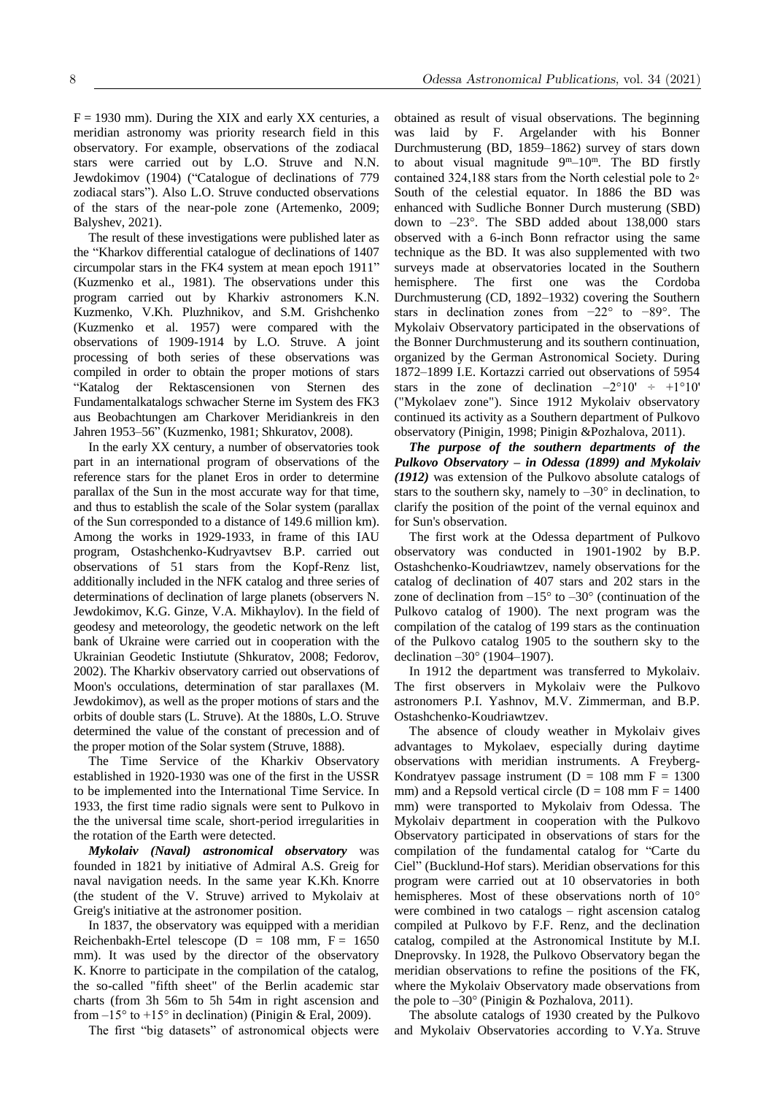$F = 1930$  mm). During the XIX and early XX centuries, a meridian astronomy was priority research field in this observatory. For example, observations of the zodiacal stars were carried out by L.O. Struve and N.N. Jewdokimov (1904) ("Catalogue of declinations of 779 zodiacal stars"). Also L.O. Struve conducted observations of the stars of the near-pole zone (Artemenko, 2009; Balyshev, 2021).

The result of these investigations were published later as the "Kharkov differential catalogue of declinations of 1407 circumpolar stars in the FK4 system at mean epoch 1911" (Kuzmenko et al., 1981). The observations under this program carried out by Kharkiv astronomers K.N. Kuzmenko, V.Kh. Pluzhnikov, and S.M. Grishchenko (Kuzmenko et al. 1957) were compared with the observations of 1909-1914 by L.O. Struve. A joint processing of both series of these observations was compiled in order to obtain the proper motions of stars "Katalog der Rektascensionen von Sternen des Fundamentalkatalogs schwacher Sterne im System des FK3 aus Beobachtungen am Charkover Meridiankreis in den Jahren 1953–56" (Kuzmenko, 1981; Shkuratov, 2008).

In the early XX century, a number of observatories took part in an international program of observations of the reference stars for the planet Eros in order to determine parallax of the Sun in the most accurate way for that time, and thus to establish the scale of the Solar system (parallax of the Sun corresponded to a distance of 149.6 million km). Among the works in 1929-1933, in frame of this IAU program, Ostashchenko-Kudryavtsev B.P. carried out observations of 51 stars from the Kopf-Renz list, additionally included in the NFK catalog and three series of determinations of declination of large planets (observers N. Jewdokimov, K.G. Ginze, V.A. Mikhaylov). In the field of geodesy and meteorology, the geodetic network on the left bank of Ukraine were carried out in cooperation with the Ukrainian Geodetic Instiutute (Shkuratov, 2008; Fedorov, 2002). The Kharkiv observatory carried out observations of Moon's occulations, determination of star parallaxes (M. Jewdokimov), as well as the proper motions of stars and the orbits of double stars (L. Struve). At the 1880s, L.O. Struve determined the value of the constant of precession and of the proper motion of the Solar system (Struve, 1888).

The Time Service of the Kharkiv Observatory established in 1920-1930 was one of the first in the USSR to be implemented into the International Time Service. In 1933, the first time radio signals were sent to Pulkovo in the the universal time scale, short-period irregularities in the rotation of the Earth were detected.

*Mykolaiv (Naval) astronomical observatory* was founded in 1821 by initiative of Admiral A.S. Greig for naval navigation needs. In the same year K.Kh. Knorre (the student of the V. Struve) arrived to Mykolaiv at Greig's initiative at the astronomer position.

In 1837, the observatory was equipped with a meridian Reichenbakh-Ertel telescope ( $D = 108$  mm,  $F = 1650$ mm). It was used by the director of the observatory K. Knorre to participate in the compilation of the catalog, the so-called "fifth sheet" of the Berlin academic star charts (from 3h 56m to 5h 54m in right ascension and from  $-15^{\circ}$  to  $+15^{\circ}$  in declination) (Pinigin & Eral, 2009).

The first "big datasets" of astronomical objects were

obtained as result of visual observations. The beginning was laid by F. Argelander with his Bonner Durchmusterung (BD, 1859–1862) survey of stars down to about visual magnitude  $9^{\text{m}}-10^{\text{m}}$ . The BD firstly contained 324,188 stars from the North celestial pole to 2◦ South of the celestial equator. In 1886 the BD was enhanced with Sudliche Bonner Durch musterung (SBD) down to  $-23^\circ$ . The SBD added about 138,000 stars observed with a 6-inch Bonn refractor using the same technique as the BD. It was also supplemented with two surveys made at observatories located in the Southern hemisphere. The first one was the Cordoba Durchmusterung (CD, 1892–1932) covering the Southern stars in declination zones from −22° to −89°. The Mykolaiv Observatory participated in the observations of the Bonner Durchmusterung and its southern continuation, organized by the German Astronomical Society. During 1872–1899 I.E. Kortazzi carried out observations of 5954 stars in the zone of declination  $-2^{\circ}10' \div +1^{\circ}10'$ ("Mykolaev zone"). Since 1912 Mykolaiv observatory continued its activity as a Southern department of Pulkovo observatory (Pinigin, 1998; Pinigin &Pozhalova, 2011).

*The purpose of the southern departments of the Pulkovo Observatory – in Odessa (1899) and Mykolaiv (1912)* was extension of the Pulkovo absolute catalogs of stars to the southern sky, namely to  $-30^\circ$  in declination, to clarify the position of the point of the vernal equinox and for Sun's observation.

The first work at the Odessa department of Pulkovo observatory was conducted in 1901-1902 by B.P. Ostashchenko-Koudriawtzev, namely observations for the catalog of declination of 407 stars and 202 stars in the zone of declination from  $-15^{\circ}$  to  $-30^{\circ}$  (continuation of the Pulkovo catalog of 1900). The next program was the compilation of the catalog of 199 stars as the continuation of the Pulkovo catalog 1905 to the southern sky to the declination –30° (1904–1907).

In 1912 the department was transferred to Mykolaiv. The first observers in Mykolaiv were the Pulkovo astronomers P.I. Yashnov, M.V. Zimmerman, and B.P. Ostashchenko-Koudriawtzev.

The absence of cloudy weather in Mykolaiv gives advantages to Mykolaev, especially during daytime observations with meridian instruments. A Freyberg-Kondratyev passage instrument ( $D = 108$  mm F = 1300 mm) and a Repsold vertical circle ( $D = 108$  mm  $F = 1400$ mm) were transported to Mykolaiv from Odessa. The Mykolaiv department in cooperation with the Pulkovo Observatory participated in observations of stars for the compilation of the fundamental catalog for "Carte du Ciel" (Bucklund-Hof stars). Meridian observations for this program were carried out at 10 observatories in both hemispheres. Most of these observations north of 10° were combined in two catalogs – right ascension catalog compiled at Pulkovo by F.F. Renz, and the declination catalog, compiled at the Astronomical Institute by M.I. Dneprovsky. In 1928, the Pulkovo Observatory began the meridian observations to refine the positions of the FK, where the Mykolaiv Observatory made observations from the pole to  $-30^{\circ}$  (Pinigin & Pozhalova, 2011).

The absolute catalogs of 1930 created by the Pulkovo and Mykolaiv Observatories according to V.Ya. Struve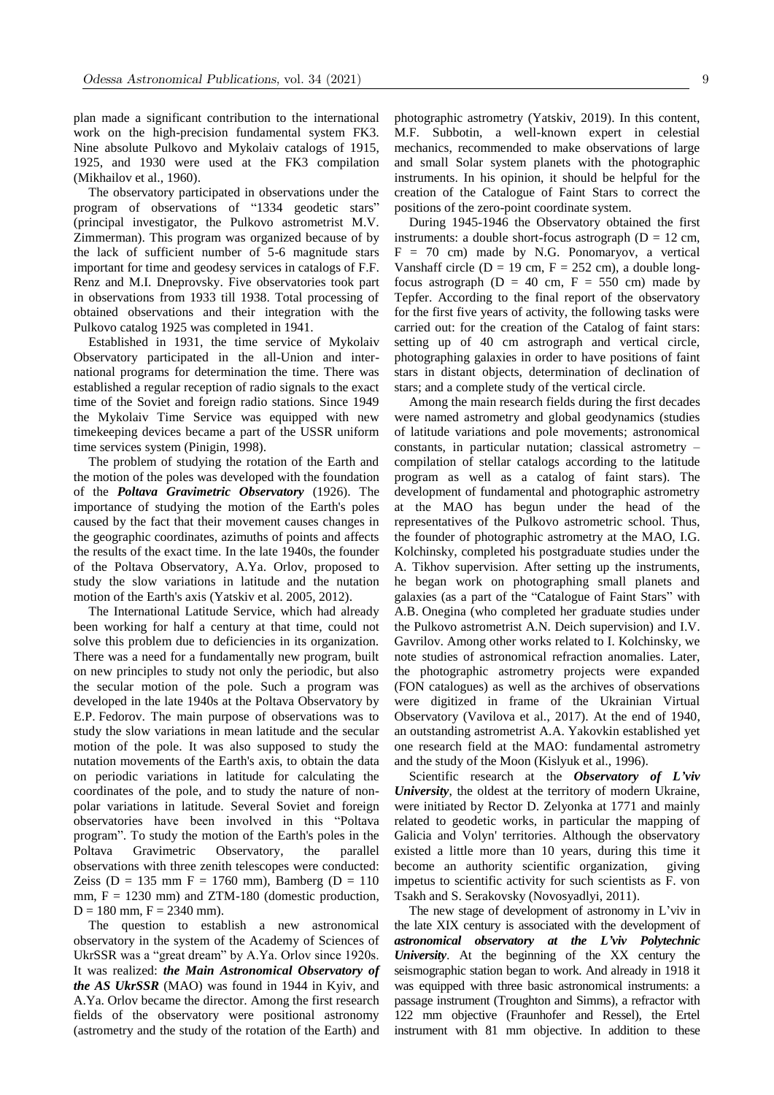plan made a significant contribution to the international work on the high-precision fundamental system FK3. Nine absolute Pulkovo and Mykolaiv catalogs of 1915, 1925, and 1930 were used at the FK3 compilation (Mikhailov et al., 1960).

The observatory participated in observations under the program of observations of "1334 geodetic stars" (principal investigator, the Pulkovo astrometrist M.V. Zimmerman). This program was organized because of by the lack of sufficient number of 5-6 magnitude stars important for time and geodesy services in catalogs of F.F. Renz and M.I. Dneprovsky. Five observatories took part in observations from 1933 till 1938. Total processing of obtained observations and their integration with the Pulkovo catalog 1925 was completed in 1941.

Established in 1931, the time service of Mykolaiv Observatory participated in the all-Union and international programs for determination the time. There was established a regular reception of radio signals to the exact time of the Soviet and foreign radio stations. Since 1949 the Mykolaiv Time Service was equipped with new timekeeping devices became a part of the USSR uniform time services system (Pinigin, 1998).

The problem of studying the rotation of the Earth and the motion of the poles was developed with the foundation of the *Poltava Gravimetric Observatory* (1926). The importance of studying the motion of the Earth's poles caused by the fact that their movement causes changes in the geographic coordinates, azimuths of points and affects the results of the exact time. In the late 1940s, the founder of the Poltava Observatory, A.Ya. Orlov, proposed to study the slow variations in latitude and the nutation motion of the Earth's axis (Yatskiv et al. 2005, 2012).

The International Latitude Service, which had already been working for half a century at that time, could not solve this problem due to deficiencies in its organization. There was a need for a fundamentally new program, built on new principles to study not only the periodic, but also the secular motion of the pole. Such a program was developed in the late 1940s at the Poltava Observatory by E.P. Fedorov. The main purpose of observations was to study the slow variations in mean latitude and the secular motion of the pole. It was also supposed to study the nutation movements of the Earth's axis, to obtain the data on periodic variations in latitude for calculating the coordinates of the pole, and to study the nature of nonpolar variations in latitude. Several Soviet and foreign observatories have been involved in this "Poltava program". To study the motion of the Earth's poles in the Poltava Gravimetric Observatory, the parallel observations with three zenith telescopes were conducted: Zeiss (D = 135 mm F = 1760 mm), Bamberg (D = 110 mm,  $F = 1230$  mm) and ZTM-180 (domestic production,  $D = 180$  mm,  $F = 2340$  mm).

The question to establish a new astronomical observatory in the system of the Academy of Sciences of UkrSSR was a "great dream" by A.Ya. Orlov since 1920s. It was realized: *the Main Astronomical Observatory of the AS UkrSSR* (MAO) was found in 1944 in Kyiv, and A.Ya. Orlov became the director. Among the first research fields of the observatory were positional astronomy (astrometry and the study of the rotation of the Earth) and photographic astrometry (Yatskiv, 2019). In this content, M.F. Subbotin, a well-known expert in celestial mechanics, recommended to make observations of large and small Solar system planets with the photographic instruments. In his opinion, it should be helpful for the creation of the Catalogue of Faint Stars to correct the positions of the zero-point coordinate system.

During 1945-1946 the Observatory obtained the first instruments: a double short-focus astrograph ( $D = 12$  cm,  $F = 70$  cm) made by N.G. Ponomaryov, a vertical Vanshaff circle ( $D = 19$  cm,  $F = 252$  cm), a double longfocus astrograph ( $D = 40$  cm,  $F = 550$  cm) made by Tepfer. According to the final report of the observatory for the first five years of activity, the following tasks were carried out: for the creation of the Catalog of faint stars: setting up of 40 cm astrograph and vertical circle, photographing galaxies in order to have positions of faint stars in distant objects, determination of declination of stars; and a complete study of the vertical circle.

Among the main research fields during the first decades were named astrometry and global geodynamics (studies of latitude variations and pole movements; astronomical constants, in particular nutation; classical astrometry – compilation of stellar catalogs according to the latitude program as well as a catalog of faint stars). The development of fundamental and photographic astrometry at the MAO has begun under the head of the representatives of the Pulkovo astrometric school. Thus, the founder of photographic astrometry at the МAO, I.G. Kolchinsky, completed his postgraduate studies under the A. Tikhov supervision. After setting up the instruments, he began work on photographing small planets and galaxies (as a part of the "Catalogue of Faint Stars" with A.B. Onegina (who completed her graduate studies under the Pulkovo astrometrist A.N. Deich supervision) and I.V. Gavrilov. Among other works related to I. Kolchinsky, we note studies of astronomical refraction anomalies. Later, the photographic astrometry projects were expanded (FON catalogues) as well as the archives of observations were digitized in frame of the Ukrainian Virtual Observatory (Vavilova et al., 2017). At the end of 1940, an outstanding astrometrist A.A. Yakovkin established yet one research field at the MAO: fundamental astrometry and the study of the Moon (Kislyuk et al., 1996).

Scientific research at the *Observatory of L'viv University*, the oldest at the territory of modern Ukraine, were initiated by Rector D. Zelyonka at 1771 and mainly related to geodetic works, in particular the mapping of Galicia and Volyn' territories. Although the observatory existed a little more than 10 years, during this time it become an authority scientific organization, giving impetus to scientific activity for such scientists as F. von Tsakh and S. Serakovsky (Novosyadlyi, 2011).

The new stage of development of astronomy in L'viv in the late XIX century is associated with the development of *astronomical observatory at the L'viv Polytechnic University*. At the beginning of the XX century the seismographic station began to work. And already in 1918 it was equipped with three basic astronomical instruments: a passage instrument (Troughton and Simms), a refractor with 122 mm objective (Fraunhofer and Ressel), the Ertel instrument with 81 mm objective. In addition to these